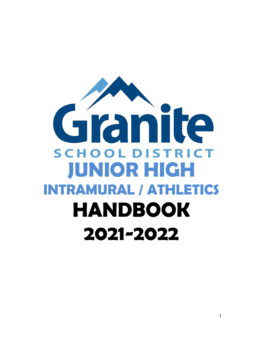# dranite **SCHOOL DISTRICT JUNIOR HIGH INTRAMURAL / ATHLETICS HANDBOOK 2021-2022**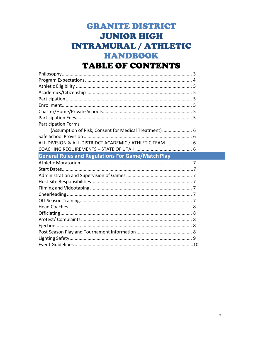# **GRANITE DISTRICT JUNIOR HIGH INTRAMURAL / ATHLETIC HANDBOOK**

# TABLE OF CONTENTS

| <b>Participation Forms</b>                               |
|----------------------------------------------------------|
| (Assumption of Risk, Consent for Medical Treatment) 6    |
|                                                          |
| ALL-DIVISION & ALL-DISTRIDCT ACADEMIC / ATHLETIC TEAM  6 |
|                                                          |
| <b>General Rules and Regulations For Game/Match Play</b> |
|                                                          |
|                                                          |
|                                                          |
|                                                          |
|                                                          |
|                                                          |
|                                                          |
|                                                          |
|                                                          |
|                                                          |
|                                                          |
|                                                          |
|                                                          |
|                                                          |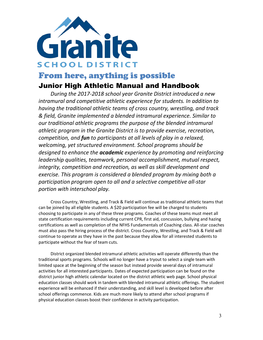

# From here, anything is possible

# Junior High Athletic Manual and Handbook

*During the 2017-2018 school year Granite District introduced a new intramural and competitive athletic experience for students. In addition to having the traditional athletic teams of cross country, wrestling, and track & field, Granite implemented a blended intramural experience. Similar to our traditional athletic programs the purpose of the blended intramural athletic program in the Granite District is to provide exercise, recreation, competition, and fun to participants at all levels of play in a relaxed, welcoming, yet structured environment. School programs should be designed to enhance the academic experience by promoting and reinforcing leadership qualities, teamwork, personal accomplishment, mutual respect, integrity, competition and recreation, as well as skill development and exercise. This program is considered a blended program by mixing both a participation program open to all and a selective competitive all-star portion with interschool play.*

Cross Country, Wrestling, and Track & Field will continue as traditional athletic teams that can be joined by all eligible students. A \$20 participation fee will be charged to students choosing to participate in any of these three programs. Coaches of these teams must meet all state certification requirements including current CPR, first aid, concussion, bullying and hazing certifications as well as completion of the NFHS Fundamentals of Coaching class. All-star coaches must also pass the hiring process of the district. Cross Country, Wrestling, and Track & Field will continue to operate as they have in the past because they allow for all interested students to participate without the fear of team cuts.

District organized blended intramural athletic activities will operate differently than the traditional sports programs. Schools will no longer have a tryout to select a single team with limited space at the beginning of the season but instead provide several days of intramural activities for all interested participants. Dates of expected participation can be found on the district junior high athletic calendar located on the district athletic web page. School physical education classes should work in tandem with blended intramural athletic offerings. The student experience will be enhanced if their understanding, and skill level is developed before after school offerings commence. Kids are much more likely to attend after school programs if physical education classes boost their confidence in activity participation.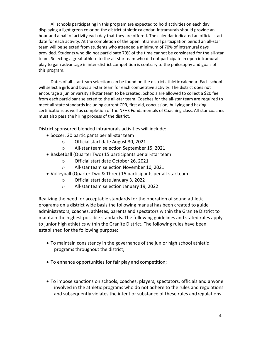All schools participating in this program are expected to hold activities on each day displaying a light green color on the district athletic calendar. Intramurals should provide an hour and a half of activity each day that they are offered. The calendar indicated an official start date for each activity. At the completion of the open intramural participation period an all-star team will be selected from students who attended a minimum of 70% of intramural days provided. Students who did not participate 70% of the time cannot be considered for the all-star team. Selecting a great athlete to the all-star team who did not participate in open intramural play to gain advantage in inter-district competition is contrary to the philosophy and goals of this program.

Dates of all-star team selection can be found on the district athletic calendar. Each school will select a girls and boys all-star team for each competitive activity. The district does not encourage a junior varsity all-star team to be created. Schools are allowed to collect a \$20 fee from each participant selected to the all-star team. Coaches for the all-star team are required to meet all state standards including current CPR, first aid, concussion, bullying and hazing certifications as well as completion of the NFHS Fundamentals of Coaching class. All-star coaches must also pass the hiring process of the district.

District sponsored blended intramurals activities will include:

- Soccer: 20 participants per all-star team
	- o Official start date August 30, 2021
	- o All-star team selection September 15, 2021
- Basketball (Quarter Two) 15 participants per all-star team
	- o Official start date October 26, 2021
	- o All-star team selection November 10, 2021
- Volleyball (Quarter Two & Three) 15 participants per all-star team
	- o Official start date January 3, 2022
	- o All-star team selection January 19, 2022

Realizing the need for acceptable standards for the operation of sound athletic programs on a district wide basis the following manual has been created to guide administrators, coaches, athletes, parents and spectators within the Granite District to maintain the highest possible standards. The following guidelines and stated rules apply to junior high athletics within the Granite District. The following rules have been established for the following purpose:

- To maintain consistency in the governance of the junior high school athletic programs throughout the district;
- To enhance opportunities for fair play and competition;
- To impose sanctions on schools, coaches, players, spectators, officials and anyone involved in the athletic programs who do not adhere to the rules and regulations and subsequently violates the intent or substance of these rules andregulations.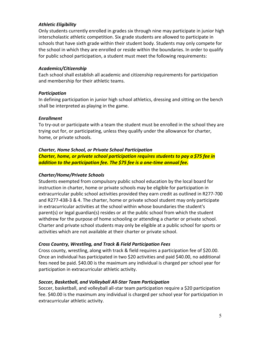# <span id="page-4-0"></span>*Athletic Eligibility*

Only students currently enrolled in grades six through nine may participate in junior high interscholastic athletic competition. Six grade students are allowed to participate in schools that have sixth grade within their student body. Students may only compete for the school in which they are enrolled or reside within the boundaries. In order to qualify for public school participation, a student must meet the following requirements:

## <span id="page-4-1"></span>*Academics/Citizenship*

Each school shall establish all academic and citizenship requirements for participation and membership for their athletic teams.

# <span id="page-4-2"></span>*Participation*

In defining participation in junior high school athletics, dressing and sitting on the bench shall be interpreted as playing in the game.

# <span id="page-4-3"></span>*Enrollment*

To try-out or participate with a team the student must be enrolled in the school they are trying out for, or participating, unless they qualify under the allowance for charter, home, or private schools.

# *Charter, Home School, or Private School Participation*

*Charter, home, or private school participation requires students to pay a \$75 fee in addition to the participation fee. The \$75 fee is a one-time annual fee.*

# <span id="page-4-4"></span>*Charter/Home/Private Schools*

Students exempted from compulsory public school education by the local board for instruction in charter, home or private schools may be eligible for participation in extracurricular public school activities provided they earn credit as outlined in R277-700 and R277-438-3 & 4. The charter, home or private school student may only participate in extracurricular activities at the school within whose boundaries the student's parent(s) or legal guardian(s) resides or at the public school from which the student withdrew for the purpose of home schooling or attending a charter or private school. Charter and private school students may only be eligible at a public school for sports or activities which are not available at their charter or private school.

# *Cross Country, Wrestling, and Track & Field Participation Fees*

Cross county, wrestling, along with track & field requires a participation fee of \$20.00. Once an individual has participated in two \$20 activities and paid \$40.00, no additional fees need be paid. \$40.00 is the maximum any individual is charged per school year for participation in extracurricular athletic activity.

# *Soccer, Basketball, and Volleyball All-Star Team Participation*

Soccer, basketball, and volleyball all-star team participation require a \$20 participation fee. \$40.00 is the maximum any individual is charged per school year for participation in extracurricular athletic activity.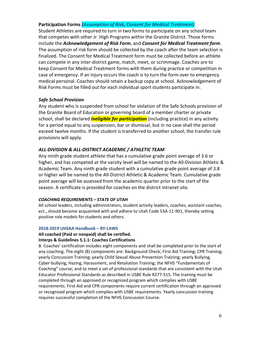# **Participation Forms** *(Assumption of Risk, Consent for Medical Treatment)*

Student Athletes are required to turn in two forms to participate on any school team that competes with other Jr. High Programs within the Granite District. Those forms include the *Acknowledgement of Risk Form*, and *Consent for Medical Treatment form*. The assumption of risk form should be collected by the coach after the team selection is finalized. The Consent for Medical Treatment form must be collected before an athlete can compete in any inter-district game, match, meet, or scrimmage. Coaches are to keep Consent for Medical Treatment forms with them during practice or competition in case of emergency. If an injury occurs the coach is to turn the form over to emergency medical personal. Coaches should retain a backup copy at school. Acknowledgement of Risk Forms must be filled out for each individual sport students participate in.

# <span id="page-5-0"></span>*Safe School Provision*

Any student who is suspended from school for violation of the Safe Schools provision of the Granite Board of Education or governing board of a member charter or private school, shall be declared *ineligible for participation* (including practice) in any activity for a period equal to any suspension, bar or dismissal, but in no case shall the period exceed twelve months. If the student is transferred to another school, the transfer rule provisions will apply.

# *ALL-DIVISION & ALL-DISTRICT ACADEMIC / ATHLETIC TEAM*

Any ninth grade student athlete that has a cumulative grade point average of 3.6 or higher, and has competed at the varsity level will be named to the All-Division Athletic & Academic Team. Any ninth grade student with a cumulative grade point average of 3.8 or higher will be named to the All-District Athletic & Academic Team. Cumulative grade point average will be assessed from the academic quarter prior to the start of the season. A certificate is provided for coaches on the district intranet site.

## <span id="page-5-1"></span>*COACHING REQUIREMENTS – STATE OF UTAH*

All school leaders, including administrators, student activity leaders, coaches, assistant coaches, ect., should become acquainted with and adhere to Utah Code 53A-11-901, thereby setting positive role models for students and others.

## **2018-2019 UHSAA Handbook – BY-LAWS**

## **All coached (Paid or nonpaid) shall be certified.**

## **Interps & Guidelines 5.1.1: Coaches Certifications**

B. Coaches' certification includes eight components and shall be completed prior to the start of any coaching. The eight (8) components are: Background Check; First Aid Training; CPR Training; yearly Concussion Training; yearly Child Sexual Abuse Prevention Training; yearly Bullying, Cyber-bullying, Hazing, Harassment, and Retaliation Training; the NFHS "Fundamentals of Coaching" course; and to meet a set of professional standards that are consistent with the Utah Educator Professional Standards as described in USBE Rule R277-515. The training must be completed through an approved or recognized program which complies with USBE requirements. First Aid and CPR components require current certification through an approved or recognized program which complies with USBE requirements. Yearly concussion training requires successful completion of the NFHS Concussion Course.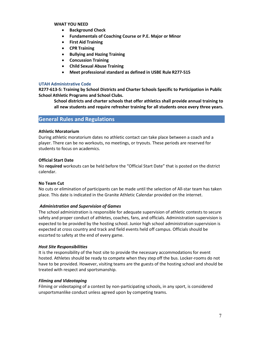#### **WHAT YOU NEED**

- **Background Check**
- **Fundamentals of Coaching Course or P.E. Major or Minor**
- **First Aid Training**
- **CPR Training**
- **Bullying and Hazing Training**
- **Concussion Training**
- **Child Sexual Abuse Training**
- **Meet professional standard as defined in USBE Rule R277-515**

#### **UTAH Administrative Code**

**R277-613-5: Training by School Districts and Charter Schools Specific to Participation in Public School Athletic Programs and School Clubs.**

**School districts and charter schools that offer athletics shall provide annual training to all new students and require refresher training for all students once every three years.**

### **General Rules and Regulations**

#### <span id="page-6-0"></span>**Athletic Moratorium**

During athletic moratorium dates no athletic contact can take place between a coach and a player. There can be no workouts, no meetings, or tryouts. These periods are reserved for students to focus on academics.

#### **Official Start Date**

No **required** workouts can be held before the "Official Start Date" that is posted on the district calendar.

#### **No Team Cut**

No cuts or elimination of participants can be made until the selection of All-star team has taken place. This date is indicated in the Granite Athletic Calendar provided on the internet.

#### <span id="page-6-1"></span>*Administration and Supervision of Games*

The school administration is responsible for adequate supervision of athletic contests to secure safety and proper conduct of athletes, coaches, fans, and officials. Administration supervision is expected to be provided by the hosting school. Junior high school administration supervision is expected at cross country and track and field events held off campus. Officials should be escorted to safety at the end of every game.

#### <span id="page-6-2"></span>*Host Site Responsibilities*

It is the responsibility of the host site to provide the necessary accommodations for event hosted. Athletes should be ready to compete when they step off the bus. Locker-rooms do not have to be provided. However, visiting teams are the guests of the hosting school and should be treated with respect and sportsmanship.

#### <span id="page-6-3"></span>*Filming and Videotaping*

Filming or videotaping of a contest by non-participating schools, in any sport, is considered unsportsmanlike conduct unless agreed upon by competing teams.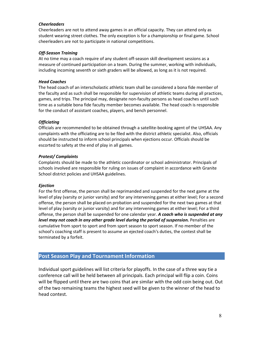#### *Cheerleaders*

Cheerleaders are not to attend away games in an official capacity. They can attend only as student wearing street clothes. The only exception is for a championship or final game. School cheerleaders are not to participate in national competitions.

#### <span id="page-7-0"></span>*Off-Season Training*

At no time may a coach require of any student off-season skill development sessions as a measure of continued participation on a team. During the summer, working with individuals, including incoming seventh or sixth graders will be allowed, as long as it is not required.

#### <span id="page-7-1"></span>*Head Coaches*

The head coach of an interscholastic athletic team shall be considered a bona fide member of the faculty and as such shall be responsible for supervision of athletic teams during all practices, games, and trips. The principal may, designate non-faculty persons as head coaches until such time as a suitable bona fide faculty member becomes available. The head coach is responsible for the conduct of assistant coaches, players, and bench personnel.

#### <span id="page-7-2"></span>*Officiating*

Officials are recommended to be obtained through a satellite-booking agent of the UHSAA. Any complaints with the officiating are to be filed with the district athletic specialist. Also, officials should be instructed to inform school principals when ejections occur. Officials should be escorted to safety at the end of play in all games.

#### <span id="page-7-3"></span>*Protest/ Complaints*

Complaints should be made to the athletic coordinator or school administrator. Principals of schools involved are responsible for ruling on issues of complaint in accordance with Granite School district policies and UHSAA guidelines.

#### <span id="page-7-4"></span>*Ejection*

For the first offense, the person shall be reprimanded and suspended for the next game at the level of play (varsity or junior varsity) and for any intervening games at either level; For a second offense, the person shall be placed on probation and suspended for the next two games at that level of play (varsity or junior varsity) and for any intervening games at either level; For a third offense, the person shall be suspended for one calendar year. *A coach who is suspended at any*  level may not coach in any other grade level during the period of suspension. Penalties are cumulative from sport to sport and from sport season to sport season. If no member of the school's coaching staff is present to assume an ejected coach's duties, the contest shall be terminated by a forfeit.

# <span id="page-7-5"></span>**Post Season Play and Tournament Information**

Individual sport guidelines will list criteria for playoffs. In the case of a three way tie a conference call will be held between all principals. Each principal will flip a coin. Coins will be flipped until there are two coins that are similar with the odd coin being out. Out of the two remaining teams the highest seed will be given to the winner of the head to head contest.